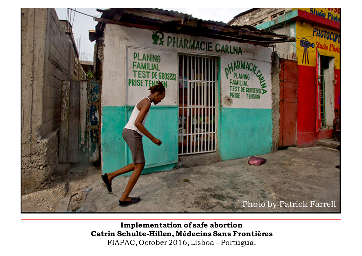

**Implementation of safe abortion Catrin Schulte-Hillen, Médecins Sans Frontières** FIAPAC, October 2016, Lisboa - Portugual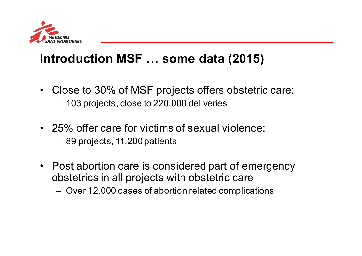

# **Introduction MSF … some data (2015)**

- Close to 30% of MSF projects offers obstetric care: – 103 projects, close to 220.000 deliveries
- 25% offer care for victims of sexual violence:
	- 89 projects, 11.200 patients
- Post abortion care is considered part of emergency obstetrics in all projects with obstetric care
	- Over 12.000 cases of abortion related complications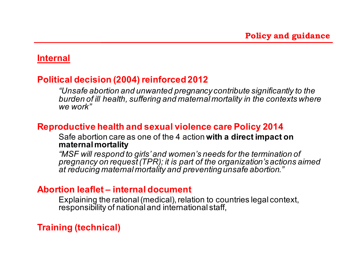### **Internal**

# **Political decision (2004) reinforced 2012**

*"Unsafe abortion and unwanted pregnancy contribute significantly to the burden of ill health, suffering and maternal mortality in the contexts where we work"*

## **Reproductive health and sexual violence care Policy 2014**

Safe abortion care as one of the 4 action **with a direct impact on maternal mortality**

*"MSF will respond to girls' and women's needs for the termination of pregnancy on request (TPR); it is part of the organization's actions aimed at reducing maternal mortality and preventing unsafe abortion."*

### **Abortion leaflet – internal document**

Explaining the rational (medical), relation to countries legal context, responsibility of national and international staff,

# **Training (technical)**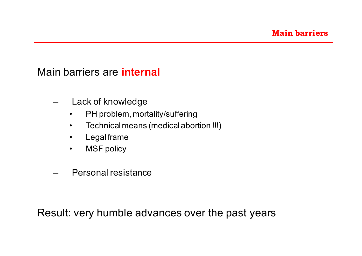# Main barriers are **internal**

- Lack of knowledge
	- PH problem, mortality/suffering
	- Technical means (medical abortion !!!)
	- Legal frame
	- MSF policy
- Personal resistance

Result: very humble advances over the past years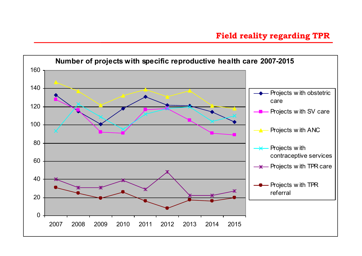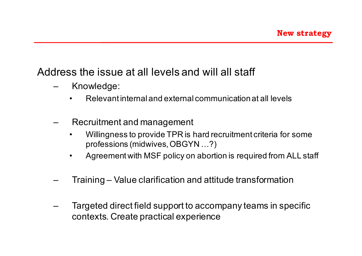# Address the issue at all levels and will all staff

- Knowledge:
	- Relevant internal and external communication at all levels
- Recruitment and management
	- Willingness to provide TPR is hard recruitment criteria for some professions (midwives, OBGYN …?)
	- Agreement with MSF policy on abortion is required from ALL staff
- Training Value clarification and attitude transformation
- Targeted direct field support to accompany teams in specific contexts. Create practical experience